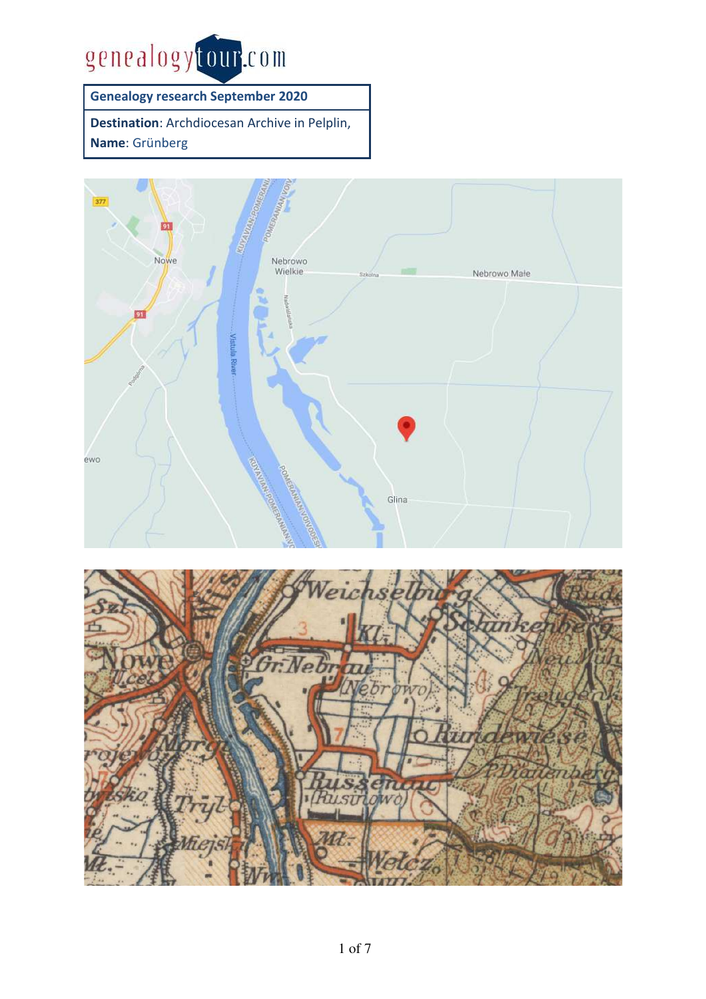

**Genealogy research September 2020** 

**Destination**: Archdiocesan Archive in Pelplin, **Name**: Grünberg



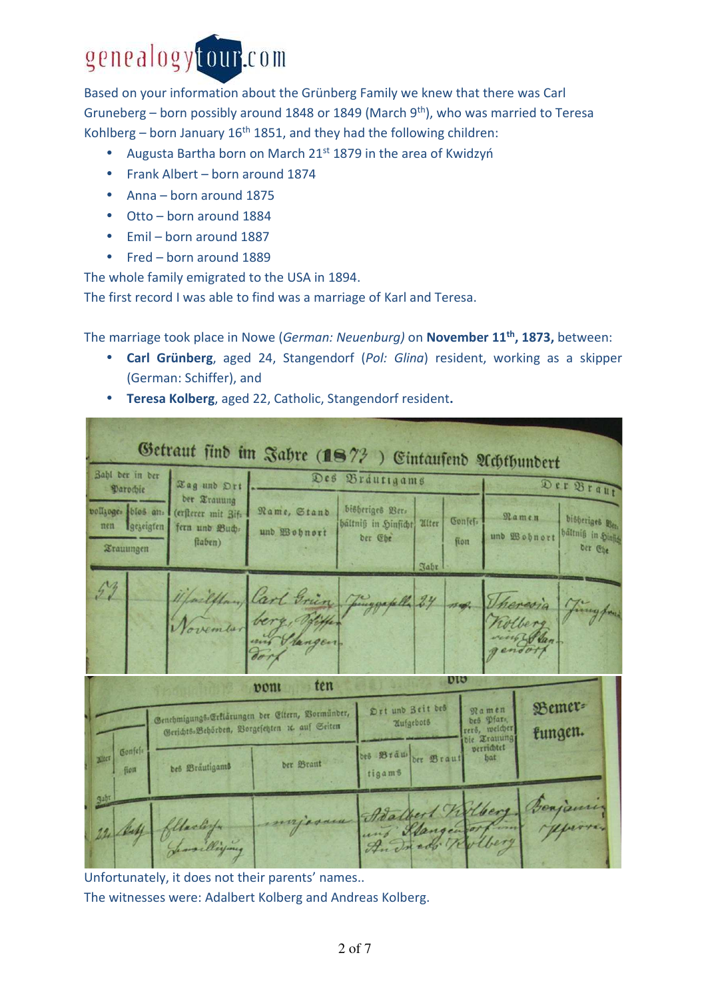## genealogytour.com

Based on your information about the Grünberg Family we knew that there was Carl Gruneberg – born possibly around 1848 or 1849 (March  $9<sup>th</sup>$ ), who was married to Teresa Kohlberg – born January  $16<sup>th</sup> 1851$ , and they had the following children:

- Augusta Bartha born on March 21<sup>st</sup> 1879 in the area of Kwidzyń
- Frank Albert born around 1874
- Anna born around 1875
- Otto born around 1884
- Emil born around 1887
- Fred born around 1889

The whole family emigrated to the USA in 1894.

The first record I was able to find was a marriage of Karl and Teresa.

The marriage took place in Nowe (*German: Neuenburg)* on **November 11th, 1873,** between:

- **Carl Grünberg**, aged 24, Stangendorf (*Pol: Glina*) resident, working as a skipper (German: Schiffer), and
- **Teresa Kolberg**, aged 22, Catholic, Stangendorf resident**.**

|                                                          |                                                                |                                                                                                   | Getraut sind im Jahre (187?) Eintausend Achthundert                    |                 |                                                    |                                                 |
|----------------------------------------------------------|----------------------------------------------------------------|---------------------------------------------------------------------------------------------------|------------------------------------------------------------------------|-----------------|----------------------------------------------------|-------------------------------------------------|
| Bahl der in der<br>Parochie                              | Tag und Ort                                                    |                                                                                                   | Des Brautigams                                                         |                 |                                                    | Der Braut                                       |
| vollzoges blos an.<br>nen Igezeigten<br><b>Xrauungen</b> | der Trauung<br>(ersterer mit Bif:<br>fern und Buch.<br>ftaben) | Name, Stand<br>und Wohnort                                                                        | bisheriges Ber-<br>haltniß in Hinficht Alter<br>der Ebe<br><b>Nabr</b> | Confef.<br>fion | Namen<br>und Wohnort                               | bisheriges Bets<br>hältniß in Hinjig<br>Der Ebe |
| 53                                                       |                                                                | ijfailplan, Carl Grien Juggapelle 24                                                              |                                                                        | $\overline{n}$  | Unercoia                                           | fing for                                        |
|                                                          |                                                                | ten<br>pont                                                                                       |                                                                        | <b>DID</b>      |                                                    |                                                 |
|                                                          |                                                                | Genehmigungs-Erklärungen der Eltern, Bormunber,<br>Gerichts:Behörden, Borgesetzten zc. auf Seiten | Drt und Zeit des<br>Mufgebots                                          |                 | Namen<br>bes Pfars<br>rers, welcher<br>bie Trauung | Bemer=<br>fungen.                               |
| Gonfes-<br><b>Bilter</b><br>fion                         | bes Bräutigams                                                 | der Braut                                                                                         | des Braus der Braut<br>tigams                                          |                 | verrichtet<br>bat                                  |                                                 |
| Zahr<br>22 buff                                          | Clarking                                                       |                                                                                                   | majoran Boatbert Willer<br>Andred Rolbery                              |                 |                                                    | Benjamin<br>Hurrice                             |

Unfortunately, it does not their parents' names.. The witnesses were: Adalbert Kolberg and Andreas Kolberg.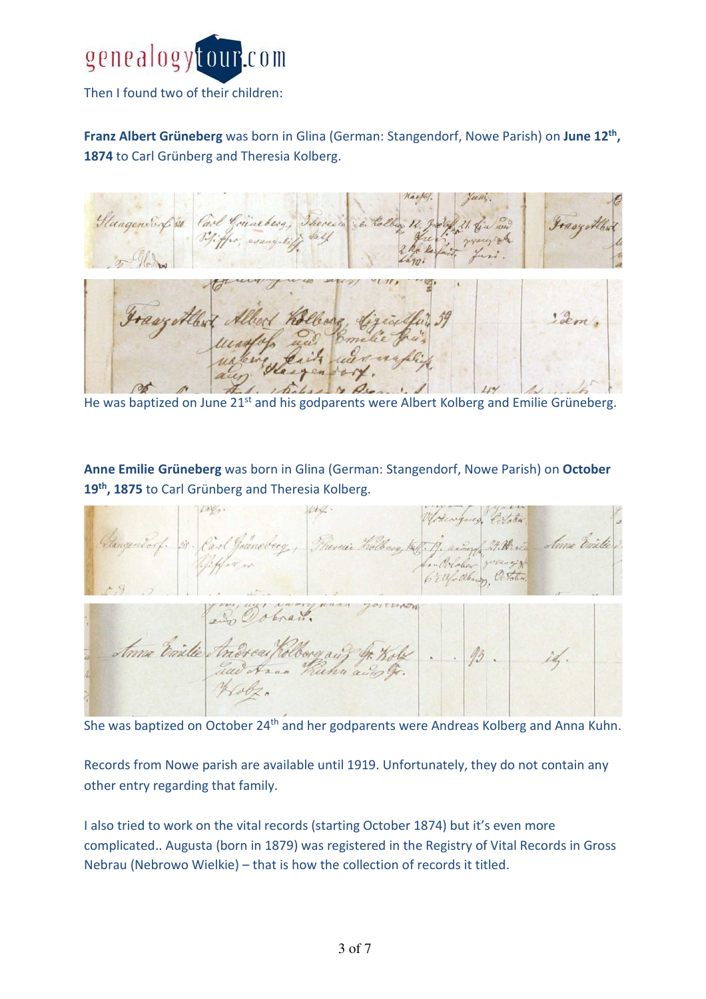

Then I found two of their children:

**Franz Albert Grüneberg** was born in Glina (German: Stangendorf, Nowe Parish) on **June 12th , 1874** to Carl Grünberg and Theresia Kolberg.



He was baptized on June 21<sup>st</sup> and his godparents were Albert Kolberg and Emilie Grüneberg.

**Anne Emilie Grüneberg** was born in Glina (German: Stangendorf, Nowe Parish) on **October 19th, 1875** to Carl Grünberg and Theresia Kolberg.



She was baptized on October 24<sup>th</sup> and her godparents were Andreas Kolberg and Anna Kuhn.

Records from Nowe parish are available until 1919. Unfortunately, they do not contain any other entry regarding that family.

I also tried to work on the vital records (starting October 1874) but it's even more complicated.. Augusta (born in 1879) was registered in the Registry of Vital Records in Gross Nebrau (Nebrowo Wielkie) – that is how the collection of records it titled.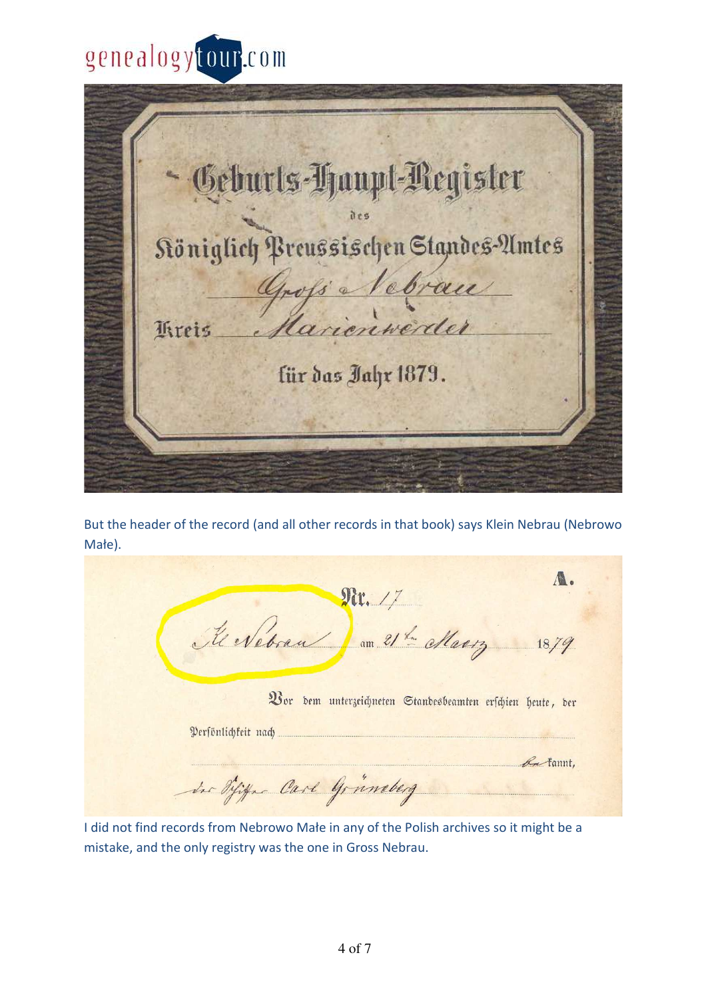## genealogytour.com

Geburts-Haupt-Register Königlich Preussischen Standes-Amtes Gross Vebrau für das Jahr 1879.

But the header of the record (and all other records in that book) says Klein Nebrau (Nebrowo Małe).

A. Nr. 17 Revebrau du 21er Mars 18.79 Vor dem unterzeichneten Standesbeamten erschien heute, der Persönlichkeit nach La fannt. in Difigure Carl Gruneberg

I did not find records from Nebrowo Małe in any of the Polish archives so it might be a mistake, and the only registry was the one in Gross Nebrau.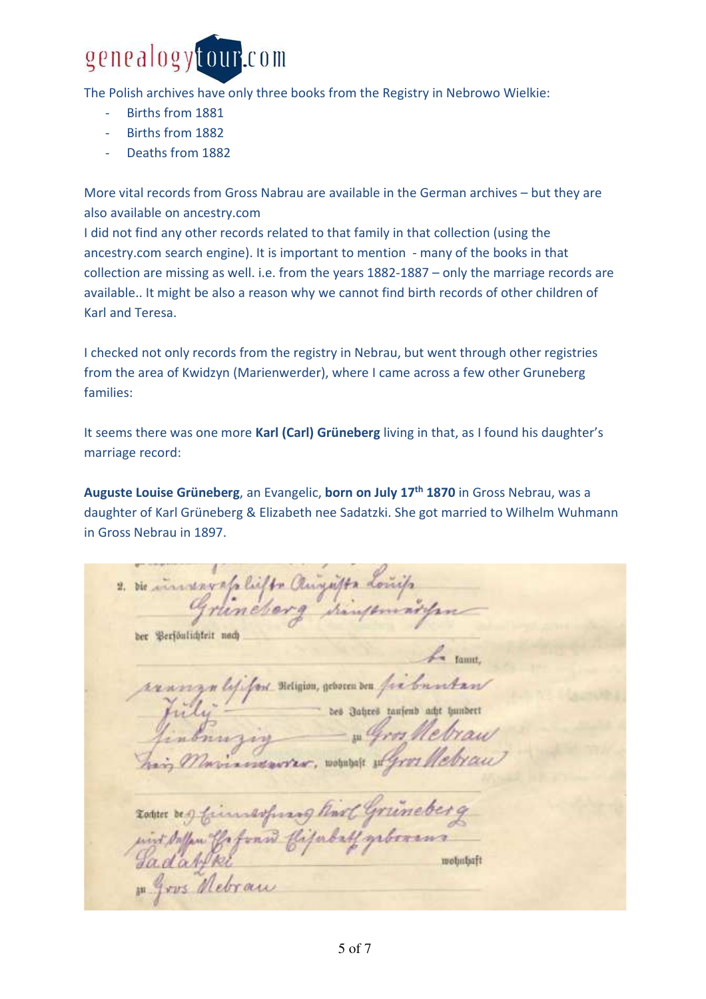

The Polish archives have only three books from the Registry in Nebrowo Wielkie:

- Births from 1881
- Births from 1882
- Deaths from 1882

More vital records from Gross Nabrau are available in the German archives – but they are also available on ancestry.com

I did not find any other records related to that family in that collection (using the ancestry.com search engine). It is important to mention - many of the books in that collection are missing as well. i.e. from the years 1882-1887 – only the marriage records are available.. It might be also a reason why we cannot find birth records of other children of Karl and Teresa.

I checked not only records from the registry in Nebrau, but went through other registries from the area of Kwidzyn (Marienwerder), where I came across a few other Gruneberg families:

It seems there was one more **Karl (Carl) Grüneberg** living in that, as I found his daughter's marriage record:

**Auguste Louise Grüneberg**, an Evangelic, **born on July 17th 1870** in Gross Nebrau, was a daughter of Karl Grüneberg & Elizabeth nee Sadatzki. She got married to Wilhelm Wuhmann in Gross Nebrau in 1897.

2. Die insurany als liefts Clinquity dos ber Berfoulichteit nach n lififon neigion, geboren ven fis bunkan bes Jahres taufend acht hundert wohnbaft and wohnbaft 1 gros Nebran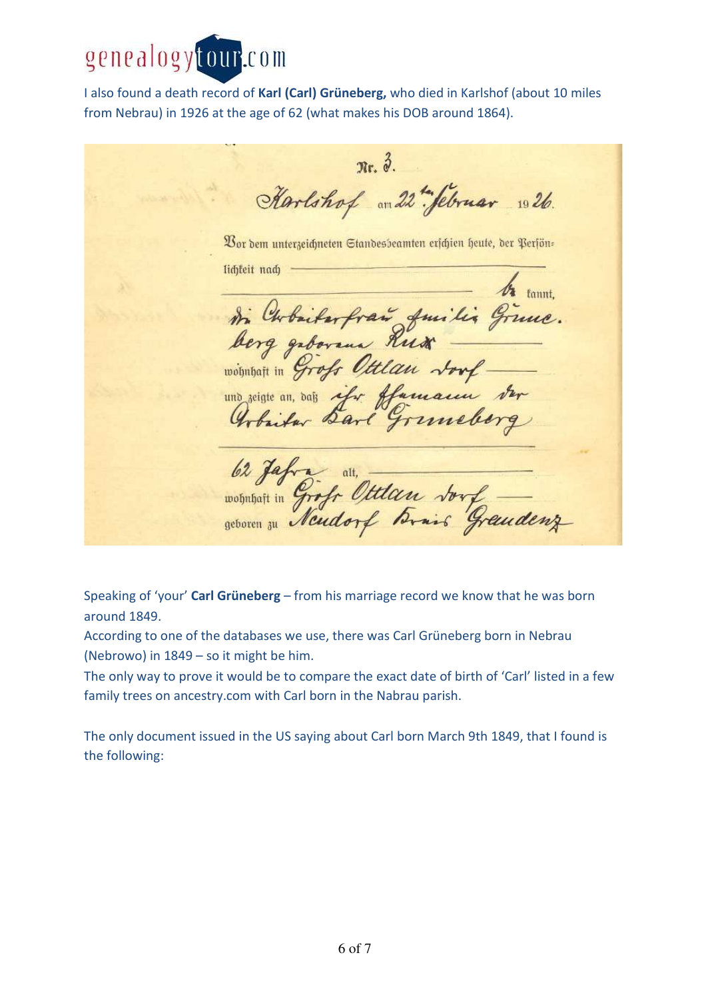

I also found a death record of **Karl (Carl) Grüneberg,** who died in Karlshof (about 10 miles from Nebrau) in 1926 at the age of 62 (what makes his DOB around 1864).

 $\pi$ .  $\delta$ . Karlshof an 22 "Sebruar 1026. Vor dem unterzeichneten Standesbeamten erschien heute, der Perfönlichteit nach tin Chobailerfrais Juilis Ginne. und reigne an, dans ifor flamain der 62 Jafra alt, alt, vous de Grandenz

Speaking of 'your' **Carl Grüneberg** – from his marriage record we know that he was born around 1849.

According to one of the databases we use, there was Carl Grüneberg born in Nebrau (Nebrowo) in 1849 – so it might be him.

The only way to prove it would be to compare the exact date of birth of 'Carl' listed in a few family trees on ancestry.com with Carl born in the Nabrau parish.

The only document issued in the US saying about Carl born March 9th 1849, that I found is the following: